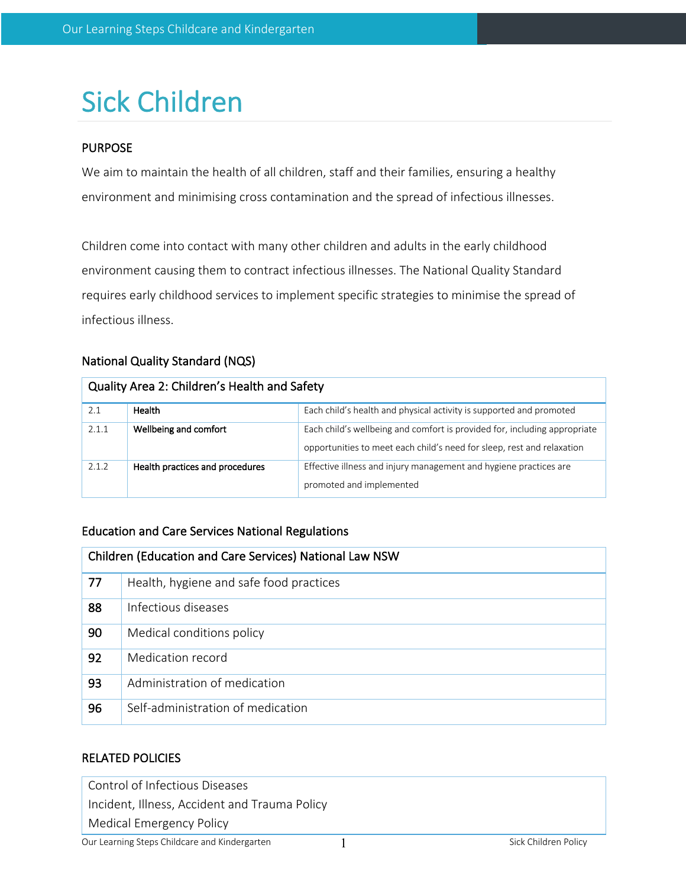# Sick Children

## PURPOSE

We aim to maintain the health of all children, staff and their families, ensuring a healthy environment and minimising cross contamination and the spread of infectious illnesses.

Children come into contact with many other children and adults in the early childhood environment causing them to contract infectious illnesses. The National Quality Standard requires early childhood services to implement specific strategies to minimise the spread of infectious illness.

## National Quality Standard (NQS)

| Quality Area 2: Children's Health and Safety |                                 |                                                                                                                                                     |  |  |
|----------------------------------------------|---------------------------------|-----------------------------------------------------------------------------------------------------------------------------------------------------|--|--|
| 2.1                                          | Health                          | Each child's health and physical activity is supported and promoted                                                                                 |  |  |
| 2.1.1                                        | Wellbeing and comfort           | Each child's wellbeing and comfort is provided for, including appropriate<br>opportunities to meet each child's need for sleep, rest and relaxation |  |  |
| 2.1.2                                        | Health practices and procedures | Effective illness and injury management and hygiene practices are<br>promoted and implemented                                                       |  |  |

## Education and Care Services National Regulations

| Children (Education and Care Services) National Law NSW |                                         |  |  |
|---------------------------------------------------------|-----------------------------------------|--|--|
| 77                                                      | Health, hygiene and safe food practices |  |  |
| 88                                                      | Infectious diseases                     |  |  |
| 90                                                      | Medical conditions policy               |  |  |
| 92                                                      | Medication record                       |  |  |
| 93                                                      | Administration of medication            |  |  |
| 96                                                      | Self-administration of medication       |  |  |

## RELATED POLICIES

Control of Infectious Diseases

Incident, Illness, Accident and Trauma Policy

Medical Emergency Policy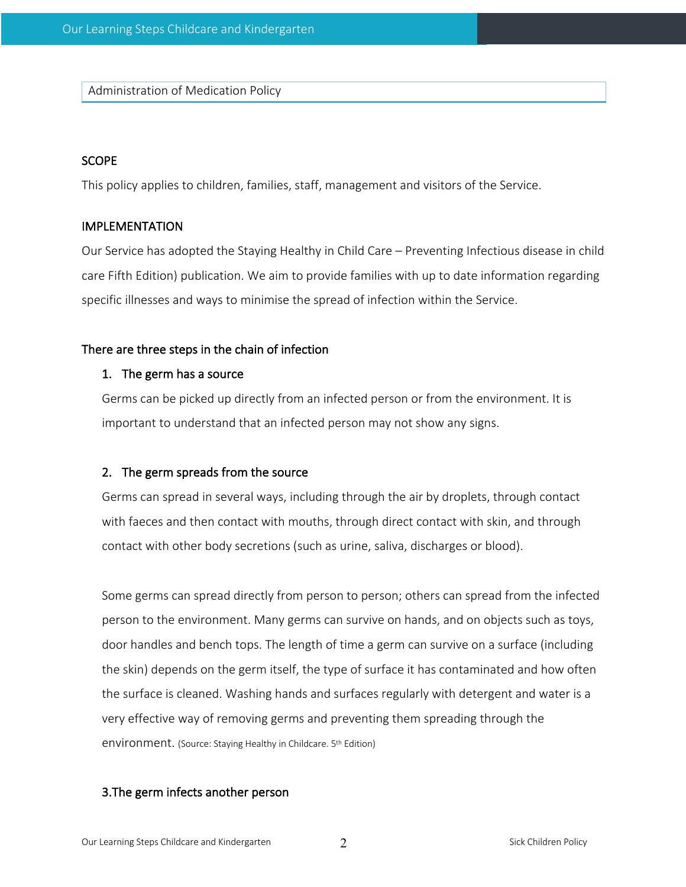Administration of Medication Policy

### **SCOPE**

This policy applies to children, families, staff, management and visitors of the Service.

#### IMPLEMENTATION

Our Service has adopted the Staying Healthy in Child Care – Preventing Infectious disease in child care Fifth Edition) publication. We aim to provide families with up to date information regarding specific illnesses and ways to minimise the spread of infection within the Service.

#### There are three steps in the chain of infection

#### 1. The germ has a source

Germs can be picked up directly from an infected person or from the environment. It is important to understand that an infected person may not show any signs.

#### 2. The germ spreads from the source

Germs can spread in several ways, including through the air by droplets, through contact with faeces and then contact with mouths, through direct contact with skin, and through contact with other body secretions (such as urine, saliva, discharges or blood).

Some germs can spread directly from person to person; others can spread from the infected person to the environment. Many germs can survive on hands, and on objects such as toys, door handles and bench tops. The length of time a germ can survive on a surface (including the skin) depends on the germ itself, the type of surface it has contaminated and how often the surface is cleaned. Washing hands and surfaces regularly with detergent and water is a very effective way of removing germs and preventing them spreading through the environment. (Source: Staying Healthy in Childcare. 5<sup>th</sup> Edition)

#### 3.The germ infects another person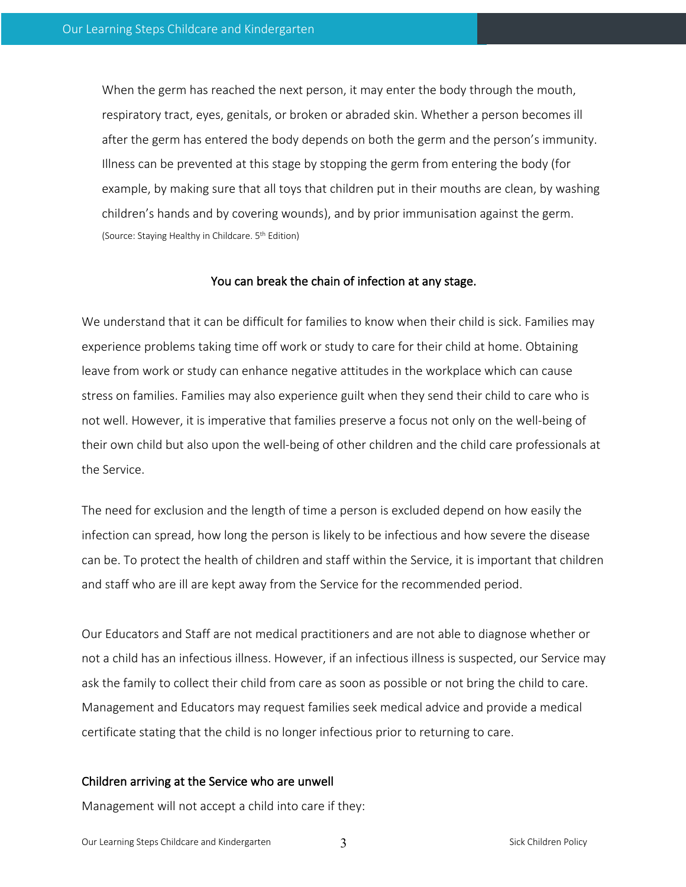When the germ has reached the next person, it may enter the body through the mouth, respiratory tract, eyes, genitals, or broken or abraded skin. Whether a person becomes ill after the germ has entered the body depends on both the germ and the person's immunity. Illness can be prevented at this stage by stopping the germ from entering the body (for example, by making sure that all toys that children put in their mouths are clean, by washing children's hands and by covering wounds), and by prior immunisation against the germ. (Source: Staying Healthy in Childcare. 5th Edition)

#### You can break the chain of infection at any stage.

We understand that it can be difficult for families to know when their child is sick. Families may experience problems taking time off work or study to care for their child at home. Obtaining leave from work or study can enhance negative attitudes in the workplace which can cause stress on families. Families may also experience guilt when they send their child to care who is not well. However, it is imperative that families preserve a focus not only on the well-being of their own child but also upon the well-being of other children and the child care professionals at the Service.

The need for exclusion and the length of time a person is excluded depend on how easily the infection can spread, how long the person is likely to be infectious and how severe the disease can be. To protect the health of children and staff within the Service, it is important that children and staff who are ill are kept away from the Service for the recommended period.

Our Educators and Staff are not medical practitioners and are not able to diagnose whether or not a child has an infectious illness. However, if an infectious illness is suspected, our Service may ask the family to collect their child from care as soon as possible or not bring the child to care. Management and Educators may request families seek medical advice and provide a medical certificate stating that the child is no longer infectious prior to returning to care.

#### Children arriving at the Service who are unwell

Management will not accept a child into care if they: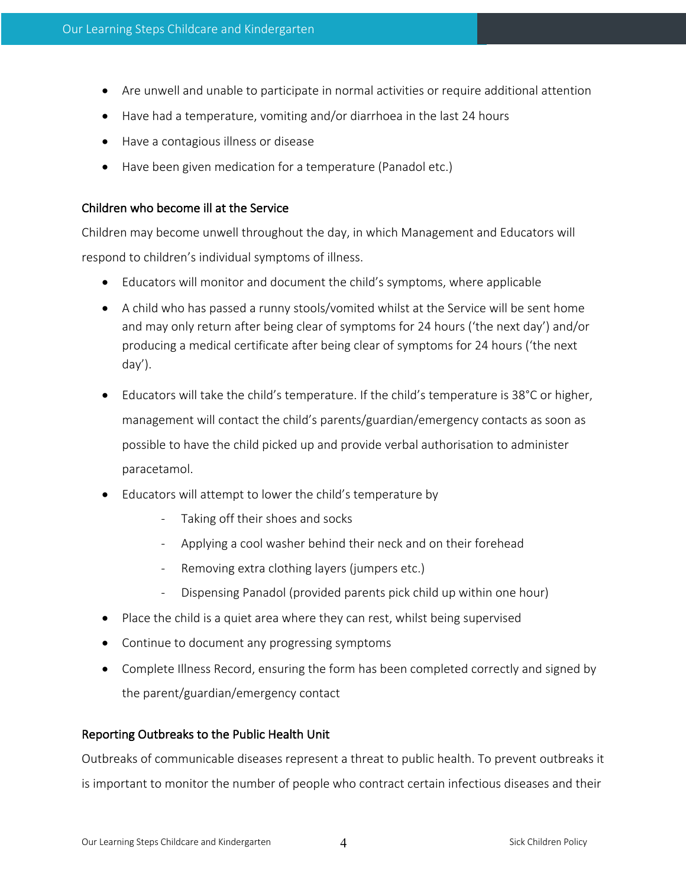- Are unwell and unable to participate in normal activities or require additional attention
- Have had a temperature, vomiting and/or diarrhoea in the last 24 hours
- Have a contagious illness or disease
- Have been given medication for a temperature (Panadol etc.)

### Children who become ill at the Service

Children may become unwell throughout the day, in which Management and Educators will respond to children's individual symptoms of illness.

- Educators will monitor and document the child's symptoms, where applicable
- A child who has passed a runny stools/vomited whilst at the Service will be sent home and may only return after being clear of symptoms for 24 hours ('the next day') and/or producing a medical certificate after being clear of symptoms for 24 hours ('the next day').
- Educators will take the child's temperature. If the child's temperature is 38°C or higher, management will contact the child's parents/guardian/emergency contacts as soon as possible to have the child picked up and provide verbal authorisation to administer paracetamol.
- Educators will attempt to lower the child's temperature by
	- Taking off their shoes and socks
	- Applying a cool washer behind their neck and on their forehead
	- Removing extra clothing layers (jumpers etc.)
	- Dispensing Panadol (provided parents pick child up within one hour)
- Place the child is a quiet area where they can rest, whilst being supervised
- Continue to document any progressing symptoms
- Complete Illness Record, ensuring the form has been completed correctly and signed by the parent/guardian/emergency contact

#### Reporting Outbreaks to the Public Health Unit

Outbreaks of communicable diseases represent a threat to public health. To prevent outbreaks it is important to monitor the number of people who contract certain infectious diseases and their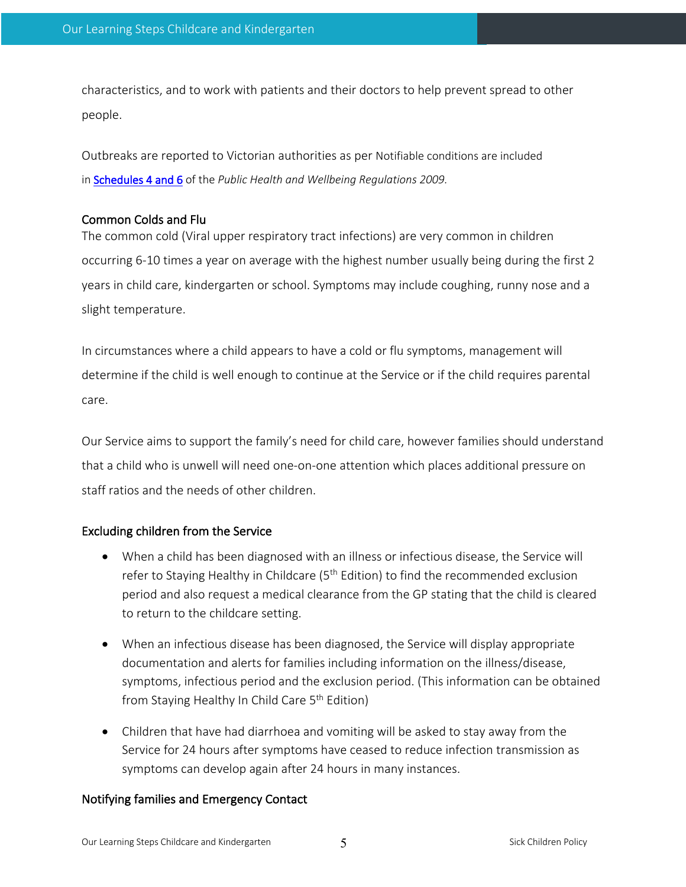characteristics, and to work with patients and their doctors to help prevent spread to other people.

Outbreaks are reported to Victorian authorities as per Notifiable conditions are included in Schedules 4 and 6 of the *Public Health and Wellbeing Regulations 2009.*

## Common Colds and Flu

The common cold (Viral upper respiratory tract infections) are very common in children occurring 6-10 times a year on average with the highest number usually being during the first 2 years in child care, kindergarten or school. Symptoms may include coughing, runny nose and a slight temperature.

In circumstances where a child appears to have a cold or flu symptoms, management will determine if the child is well enough to continue at the Service or if the child requires parental care.

Our Service aims to support the family's need for child care, however families should understand that a child who is unwell will need one-on-one attention which places additional pressure on staff ratios and the needs of other children.

## Excluding children from the Service

- When a child has been diagnosed with an illness or infectious disease, the Service will refer to Staying Healthy in Childcare (5<sup>th</sup> Edition) to find the recommended exclusion period and also request a medical clearance from the GP stating that the child is cleared to return to the childcare setting.
- When an infectious disease has been diagnosed, the Service will display appropriate documentation and alerts for families including information on the illness/disease, symptoms, infectious period and the exclusion period. (This information can be obtained from Staying Healthy In Child Care 5<sup>th</sup> Edition)
- Children that have had diarrhoea and vomiting will be asked to stay away from the Service for 24 hours after symptoms have ceased to reduce infection transmission as symptoms can develop again after 24 hours in many instances.

## Notifying families and Emergency Contact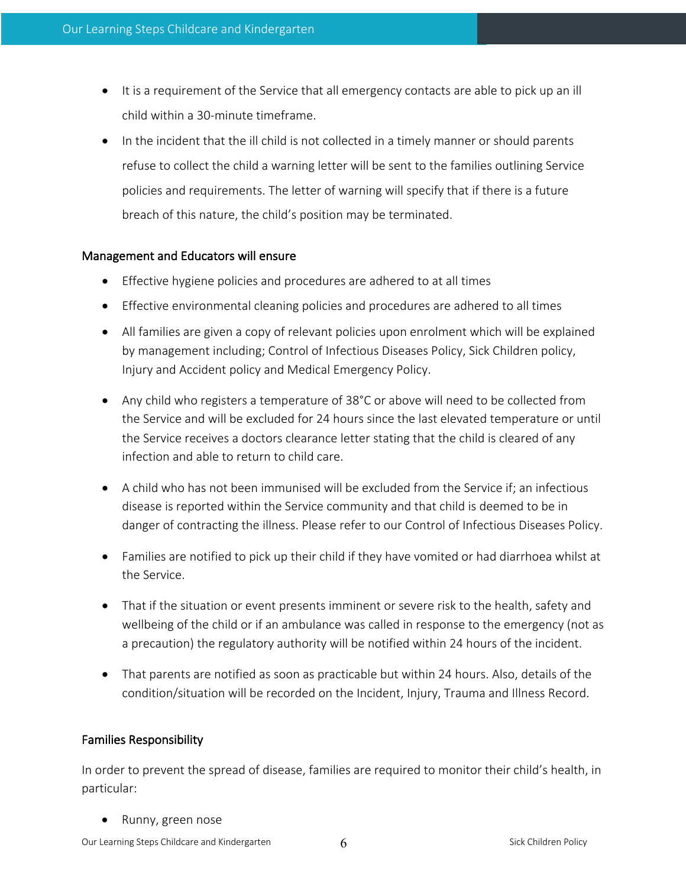- It is a requirement of the Service that all emergency contacts are able to pick up an ill child within a 30-minute timeframe.
- In the incident that the ill child is not collected in a timely manner or should parents refuse to collect the child a warning letter will be sent to the families outlining Service policies and requirements. The letter of warning will specify that if there is a future breach of this nature, the child's position may be terminated.

## Management and Educators will ensure

- Effective hygiene policies and procedures are adhered to at all times
- Effective environmental cleaning policies and procedures are adhered to all times
- All families are given a copy of relevant policies upon enrolment which will be explained by management including; Control of Infectious Diseases Policy, Sick Children policy, Injury and Accident policy and Medical Emergency Policy.
- Any child who registers a temperature of 38°C or above will need to be collected from the Service and will be excluded for 24 hours since the last elevated temperature or until the Service receives a doctors clearance letter stating that the child is cleared of any infection and able to return to child care.
- A child who has not been immunised will be excluded from the Service if; an infectious disease is reported within the Service community and that child is deemed to be in danger of contracting the illness. Please refer to our Control of Infectious Diseases Policy.
- Families are notified to pick up their child if they have vomited or had diarrhoea whilst at the Service.
- That if the situation or event presents imminent or severe risk to the health, safety and wellbeing of the child or if an ambulance was called in response to the emergency (not as a precaution) the regulatory authority will be notified within 24 hours of the incident.
- That parents are notified as soon as practicable but within 24 hours. Also, details of the condition/situation will be recorded on the Incident, Injury, Trauma and Illness Record.

## Families Responsibility

In order to prevent the spread of disease, families are required to monitor their child's health, in particular:

• Runny, green nose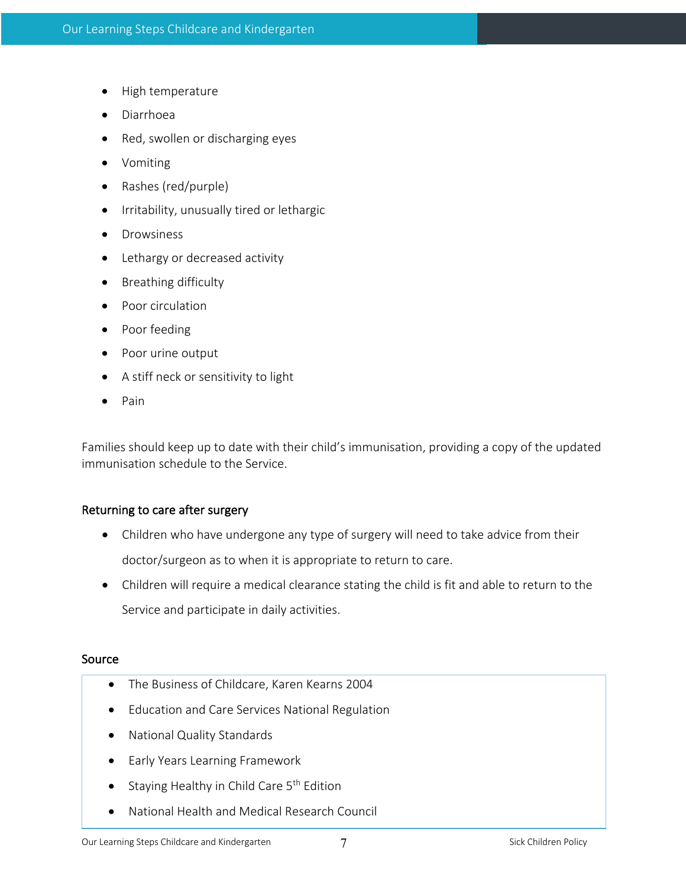- High temperature
- Diarrhoea
- Red, swollen or discharging eyes
- Vomiting
- Rashes (red/purple)
- Irritability, unusually tired or lethargic
- Drowsiness
- Lethargy or decreased activity
- Breathing difficulty
- Poor circulation
- Poor feeding
- Poor urine output
- A stiff neck or sensitivity to light
- Pain

Families should keep up to date with their child's immunisation, providing a copy of the updated immunisation schedule to the Service.

#### Returning to care after surgery

- Children who have undergone any type of surgery will need to take advice from their doctor/surgeon as to when it is appropriate to return to care.
- Children will require a medical clearance stating the child is fit and able to return to the Service and participate in daily activities.

#### Source

- The Business of Childcare, Karen Kearns 2004
- Education and Care Services National Regulation
- National Quality Standards
- Early Years Learning Framework
- Staying Healthy in Child Care 5<sup>th</sup> Edition
- National Health and Medical Research Council